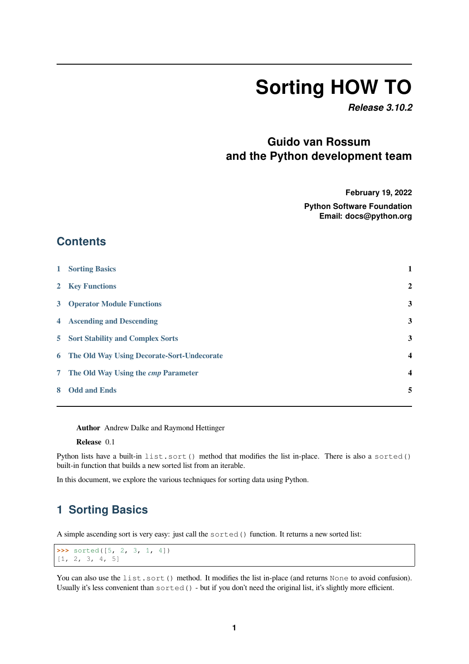# **Sorting HOW TO**

*Release 3.10.2*

## **Guido van Rossum and the Python development team**

**February 19, 2022**

**Python Software Foundation Email: docs@python.org**

#### **Contents**

| $\mathbf{1}$ | <b>Sorting Basics</b>                        | 1                       |
|--------------|----------------------------------------------|-------------------------|
|              | 2 Key Functions                              | $\overline{2}$          |
|              | <b>3</b> Operator Module Functions           | 3                       |
|              | <b>4</b> Ascending and Descending            | 3                       |
|              | 5 Sort Stability and Complex Sorts           | 3                       |
|              | 6 The Old Way Using Decorate-Sort-Undecorate | $\overline{\mathbf{4}}$ |
|              | 7 The Old Way Using the <i>cmp</i> Parameter | $\overline{\mathbf{4}}$ |
| 8            | <b>Odd and Ends</b>                          | 5                       |
|              |                                              |                         |

**[Author](#page-4-0)** Andrew Dalke and Raymond Hettinger

**Release** 0.1

Python lists have a built-in list.sort() method that modifies the list in-place. There is also a sorted() built-in function that builds a new sorted list from an iterable.

In this document, we explore the various techniques for sorting data using Python.

## **1 Sorting Basics**

<span id="page-0-0"></span>A simple ascending sort is very easy: just call the sorted() function. It returns a new sorted list:

```
>>> sorted([5, 2, 3, 1, 4])
[1, 2, 3, 4, 5]
```
You can also use the list.sort() method. It modifies the list in-place (and returns None to avoid confusion). Usually it's less convenient than sorted() - but if you don't need the original list, it's slightly more efficient.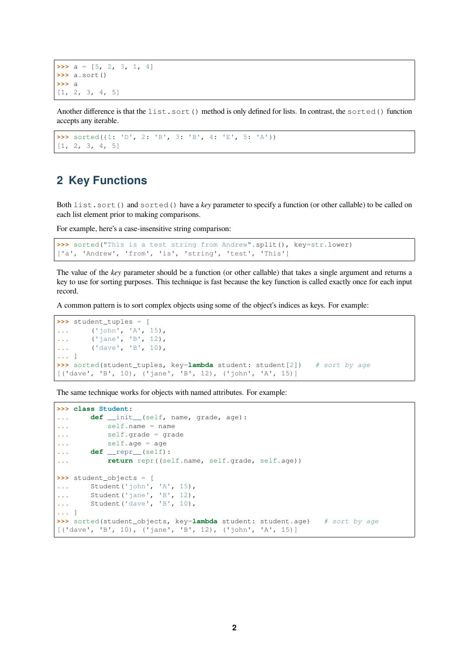$\Rightarrow$  a = [5, 2, 3, 1, 4] **>>>** a.sort() **>>>** a  $[1, 2, 3, 4, 5]$ 

Another difference is that the list.sort() method is only defined for lists. In contrast, the sorted() function accepts any iterable.

```
>>> sorted({1: 'D', 2: 'B', 3: 'B', 4: 'E', 5: 'A'})
[1, 2, 3, 4, 5]
```
#### <span id="page-1-0"></span>**2 Key Functions**

Both list.sort() and sorted() have a *key* parameter to specify a function (or other callable) to be called on each list element prior to making comparisons.

For example, here's a case-insensitive string comparison:

```
>>> sorted("This is a test string from Andrew".split(), key=str.lower)
['a', 'Andrew', 'from', 'is', 'string', 'test', 'This']
```
The value of the *key* parameter should be a function (or other callable) that takes a single argument and returns a key to use for sorting purposes. This technique is fast because the key function is called exactly once for each input record.

A common pattern is to sort complex objects using some of the object's indices as keys. For example:

```
>>> student_tuples = [
... ('john', 'A', 15),
... ('jane', 'B', 12),
... ('dave', 'B', 10),
... ]
>>> sorted(student_tuples, key=lambda student: student[2]) # sort by age
[('dave', 'B', 10), ('jane', 'B', 12), ('john', 'A', 15)]
```
The same technique works for objects with named attributes. For example:

```
>>> class Student:
... def __init__(self, name, grade, age):
... self.name = name
... self.grade = grade
... self.age = age
... def __repr__(self):
... return repr((self.name, self.grade, self.age))
>>> student_objects = [
... Student('john', 'A', 15),
... Student ('jane', 'B', 12),
... Student('dave', 'B', 10),
... ]
>>> sorted(student_objects, key=lambda student: student.age) # sort by age
[('dave', 'B', 10), ('jane', 'B', 12), ('john', 'A', 15)]
```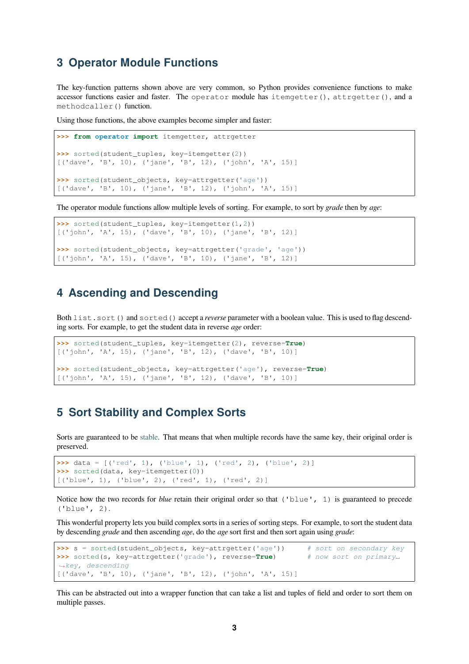### **3 Operator Module Functions**

<span id="page-2-0"></span>The key-function patterns shown above are very common, so Python provides convenience functions to make accessor functions easier and faster. The operator module has itemgetter(), attrgetter(), and a methodcaller() function.

Using those functions, the above examples become simpler and faster:

```
>>> from operator import itemgetter, attrgetter
>>> sorted(student_tuples, key=itemgetter(2))
[('dave', 'B', 10), ('jane', 'B', 12), ('john', 'A', 15)]
>>> sorted(student_objects, key=attrgetter('age'))
[('dave', 'B', 10), ('jane', 'B', 12), ('john', 'A', 15)]
```
The operator module functions allow multiple levels of sorting. For example, to sort by *grade* then by *age*:

```
>>> sorted(student_tuples, key=itemgetter(1,2))
[('john', 'A', 15), ('dave', 'B', 10), ('jane', 'B', 12)]
>>> sorted(student_objects, key=attrgetter('grade', 'age'))
[('john', 'A', 15), ('dave', 'B', 10), ('jane', 'B', 12)]
```
#### **4 Ascending and Descending**

<span id="page-2-1"></span>Both list.sort() and sorted() accept a *reverse* parameter with a boolean value. This is used to flag descending sorts. For example, to get the student data in reverse *age* order:

```
>>> sorted(student_tuples, key=itemgetter(2), reverse=True)
[('john', 'A', 15), ('jane', 'B', 12), ('dave', 'B', 10)]
>>> sorted(student_objects, key=attrgetter('age'), reverse=True)
[('john', 'A', 15), ('jane', 'B', 12), ('dave', 'B', 10)]
```
#### **5 Sort Stability and Complex Sorts**

<span id="page-2-2"></span>Sorts are guaranteed to be stable. That means that when multiple records have the same key, their original order is preserved.

```
>>> data = [('red', 1), ('blue', 1), ('red', 2), ('blue', 2)]
>>> sorted(data, key=itemgetter(0))
[('blue', 1), ('blue', 2), ('red', 1), ('red', 2)]
```
Notice how the two records for *blue* retain their original order so that ('blue', 1) is guaranteed to precede ('blue', 2).

This wonderful property lets you build complex sorts in a series of sorting steps. For example, to sort the student data by descending *grade* and then ascending *age*, do the *age* sort first and then sort again using *grade*:

```
>>> s = sorted(student_objects, key=attrgetter('age')) # sort on secondary key
>>> sorted(s, key=attrgetter('grade'), reverse=True) # now sort on primary␣
,→key, descending
[('dave', 'B', 10), ('jane', 'B', 12), ('john', 'A', 15)]
```
This can be abstracted out into a wrapper function that can take a list and tuples of field and order to sort them on multiple passes.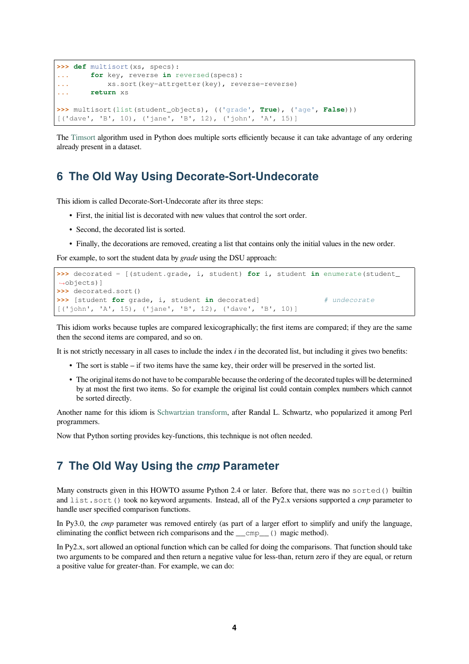```
>>> def multisort(xs, specs):
... for key, reverse in reversed(specs):
... xs.sort(key=attrgetter(key), reverse=reverse)
... return xs
>>> multisort(list(student_objects), (('grade', True), ('age', False)))
[('dave', 'B', 10), ('jane', 'B', 12), ('john', 'A', 15)]
```
The Timsort algorithm used in Python does multiple sorts efficiently because it can take advantage of any ordering already present in a dataset.

## **6 [The O](https://en.wikipedia.org/wiki/Timsort)ld Way Using Decorate-Sort-Undecorate**

<span id="page-3-0"></span>This idiom is called Decorate-Sort-Undecorate after its three steps:

- First, the initial list is decorated with new values that control the sort order.
- Second, the decorated list is sorted.
- Finally, the decorations are removed, creating a list that contains only the initial values in the new order.

For example, to sort the student data by *grade* using the DSU approach:

```
>>> decorated = [(student.grade, i, student) for i, student in enumerate(student_
,→objects)]
>>> decorated.sort()
>>> [student for grade, i, student in decorated] # undecorate
[('john', 'A', 15), ('jane', 'B', 12), ('dave', 'B', 10)]
```
This idiom works because tuples are compared lexicographically; the first items are compared; if they are the same then the second items are compared, and so on.

It is not strictly necessary in all cases to include the index *i* in the decorated list, but including it gives two benefits:

- The sort is stable if two items have the same key, their order will be preserved in the sorted list.
- The original items do not have to be comparable because the ordering of the decorated tuples will be determined by at most the first two items. So for example the original list could contain complex numbers which cannot be sorted directly.

Another name for this idiom is Schwartzian transform, after Randal L. Schwartz, who popularized it among Perl programmers.

Now that Python sorting provides key-functions, this technique is not often needed.

#### **7 The Old Way Using the** *cmp* **Parameter**

Many constructs given in this HOWTO assume Python 2.4 or later. Before that, there was no sorted() builtin and list.sort() took no keyword arguments. Instead, all of the Py2.x versions supported a *cmp* parameter to handle user specified comparison functions.

In Py3.0, the *cmp* parameter was removed entirely (as part of a larger effort to simplify and unify the language, eliminating the conflict between rich comparisons and the  $\text{\_}emp$  () magic method).

In Py2.x, sort allowed an optional function which can be called for doing the comparisons. That function should take two arguments to be compared and then return a negative value for less-than, return zero if they are equal, or return a positive value for greater-than. For example, we can do: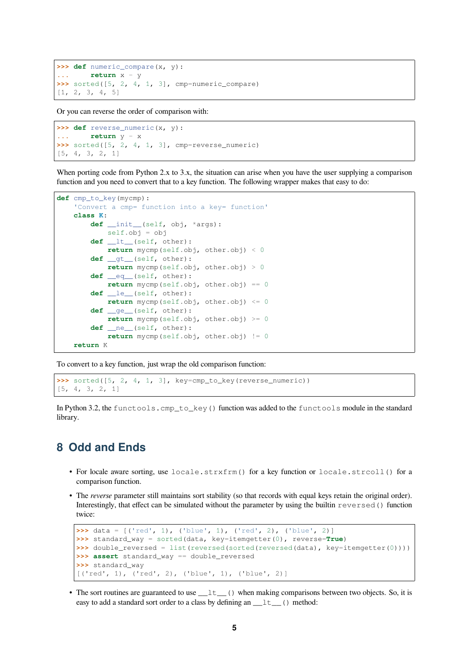```
>>> def numeric_compare(x, y):
... return x - y
>>> sorted([5, 2, 4, 1, 3], cmp=numeric_compare)
[1, 2, 3, 4, 5]
```
Or you can reverse the order of comparison with:

```
>>> def reverse_numeric(x, y):
... return y - x
>>> sorted([5, 2, 4, 1, 3], cmp=reverse_numeric)
[5, 4, 3, 2, 1]
```
When porting code from Python 2.x to 3.x, the situation can arise when you have the user supplying a comparison function and you need to convert that to a key function. The following wrapper makes that easy to do:

```
def cmp_to_key(mycmp):
    'Convert a cmp= function into a key= function'
    class K:
        def __init__(self, obj, *args):
            self.obj = obj
        def __lt__(self, other):
           return mycmp(self.obj, other.obj) < 0
        def __gt__(self, other):
           return mycmp(self.obj, other.obj) > 0
        def __eq__(self, other):
           return mycmp(self.obj, other.obj) == 0
        def __le__(self, other):
           return mycmp(self.obj, other.obj) \leq 0def __ge__(self, other):
           return mycmp(self.obj, other.obj) >= 0
        def __ne__(self, other):
            return mycmp(self.obj, other.obj) != 0
    return K
```
To convert to a key function, just wrap the old comparison function:

**>>>** sorted([5, 2, 4, 1, 3], key=cmp\_to\_key(reverse\_numeric)) [5, 4, 3, 2, 1]

In Python 3.2, the functools.cmp\_to\_key() function was added to the functools module in the standard library.

#### <span id="page-4-0"></span>**8 Odd and Ends**

- For locale aware sorting, use locale.strxfrm() for a key function or locale.strcoll() for a comparison function.
- The *reverse* parameter still maintains sort stability (so that records with equal keys retain the original order). Interestingly, that effect can be simulated without the parameter by using the builtin reversed() function twice:

```
>>> data = [('red', 1), ('blue', 1), ('red', 2), ('blue', 2)]
>>> standard_way = sorted(data, key=itemgetter(0), reverse=True)
>>> double_reversed = list(reversed(sorted(reversed(data), key=itemgetter(0))))
>>> assert standard_way == double_reversed
>>> standard_way
[('red', 1), ('red', 2), ('blue', 1), ('blue', 2)]
```
• The sort routines are guaranteed to use  $\pm \pm \pm ($ ) when making comparisons between two objects. So, it is easy to add a standard sort order to a class by defining an  $_l$   $_l$ t  $_l$  () method: